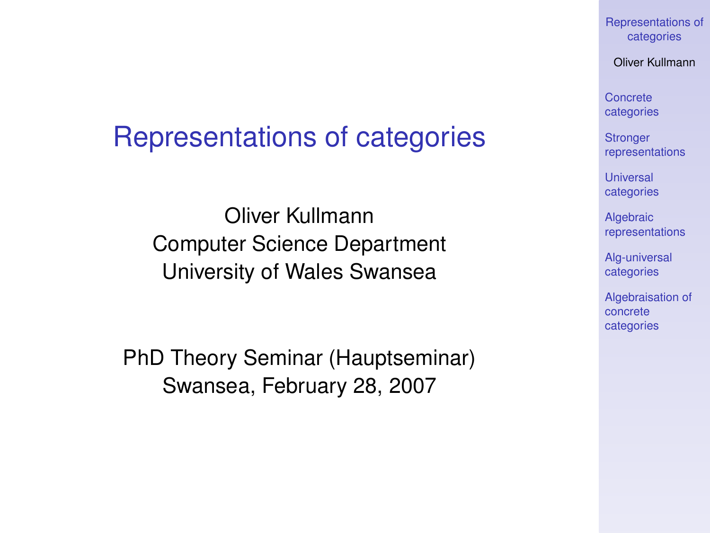#### [Representations of](#page-22-0) categories

Oliver Kullmann

Concrete [categories](#page-4-0)

**Stronger** [representations](#page-9-0)

Universal [categories](#page-11-0)

**Algebraic** [representations](#page-12-0)

[Alg-universal](#page-15-0) categories

[Algebraisation of](#page-17-0) concrete categories

## Representations of categories

Oliver Kullmann Computer Science Department University of Wales Swansea

<span id="page-0-0"></span>PhD Theory Seminar (Hauptseminar) Swansea, February 28, 2007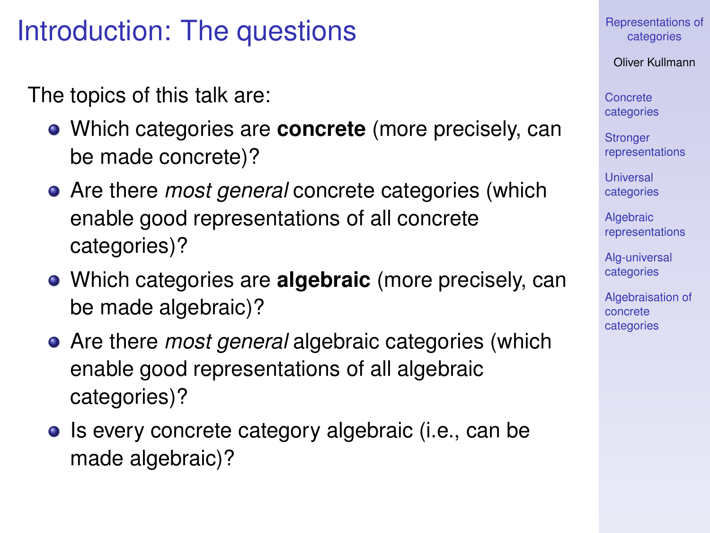# Introduction: The questions

The topics of this talk are:

- Which categories are **concrete** (more precisely, can be made concrete)?
- Are there *most general* concrete categories (which enable good representations of all concrete categories)?
- Which categories are **algebraic** (more precisely, can be made algebraic)?
- Are there *most general* algebraic categories (which enable good representations of all algebraic categories)?
- Is every concrete category algebraic (i.e., can be made algebraic)?

[Representations of](#page-0-0) categories

Oliver Kullmann

Concrete [categories](#page-4-0)

**Stronger** [representations](#page-9-0)

**Universal** [categories](#page-11-0)

**Algebraic** [representations](#page-12-0)

[Alg-universal](#page-15-0) categories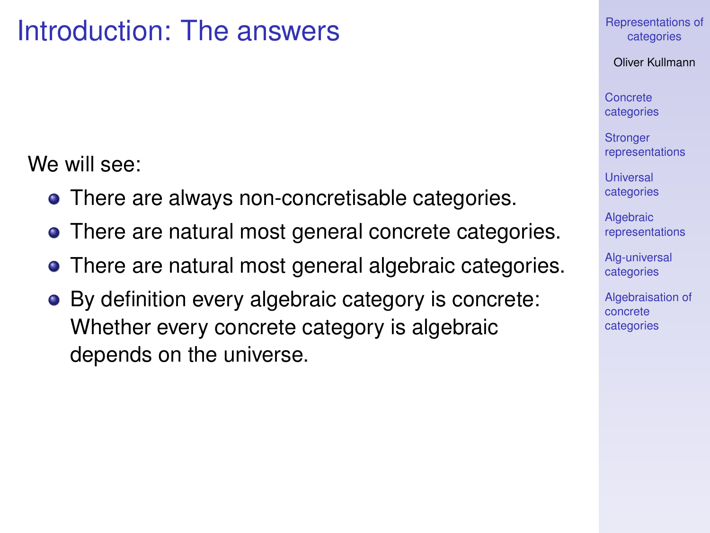# Introduction: The answers

We will see:

- There are always non-concretisable categories.
- There are natural most general concrete categories.
- There are natural most general algebraic categories.
- By definition every algebraic category is concrete: Whether every concrete category is algebraic depends on the universe.

[Representations of](#page-0-0) categories

Oliver Kullmann

Concrete [categories](#page-4-0)

**Stronger** [representations](#page-9-0)

**Universal** [categories](#page-11-0)

**Algebraic** [representations](#page-12-0)

[Alg-universal](#page-15-0) categories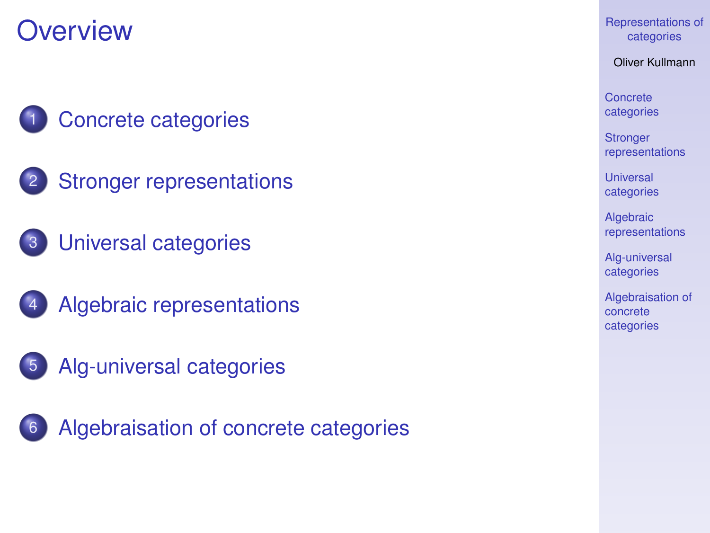# **Overview**



- [Concrete categories](#page-4-0)
- 2 [Stronger representations](#page-9-0)
- 3 [Universal categories](#page-11-0)
- 4 [Algebraic representations](#page-12-0)
- 5 [Alg-universal categories](#page-15-0)



[Representations of](#page-0-0) categories

Oliver Kullmann

Concrete [categories](#page-4-0)

**Stronger** [representations](#page-9-0)

Universal [categories](#page-11-0)

**Algebraic** [representations](#page-12-0)

[Alg-universal](#page-15-0) categories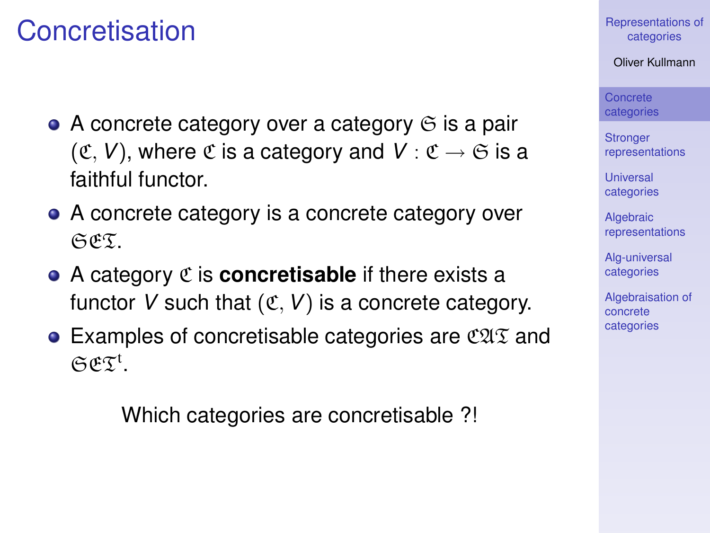## Concretisation

- $\bullet$  A concrete category over a category  $\odot$  is a pair  $({\mathfrak C}, V)$ , where  ${\mathfrak C}$  is a category and  $V : {\mathfrak C} \to {\mathfrak S}$  is a faithful functor.
- A concrete category is a concrete category over SET.
- A category C is **concretisable** if there exists a functor V such that  $(\mathfrak{C}, V)$  is a concrete category.
- <span id="page-4-0"></span>• Examples of concretisable categories are  $\mathfrak{CAT}$  and  $CCE^t$ .

Which categories are concretisable ?!

[Representations of](#page-0-0) categories

Oliver Kullmann

Concrete [categories](#page-4-0)

**Stronger** [representations](#page-9-0)

Universal [categories](#page-11-0)

**Algebraic** [representations](#page-12-0)

[Alg-universal](#page-15-0) categories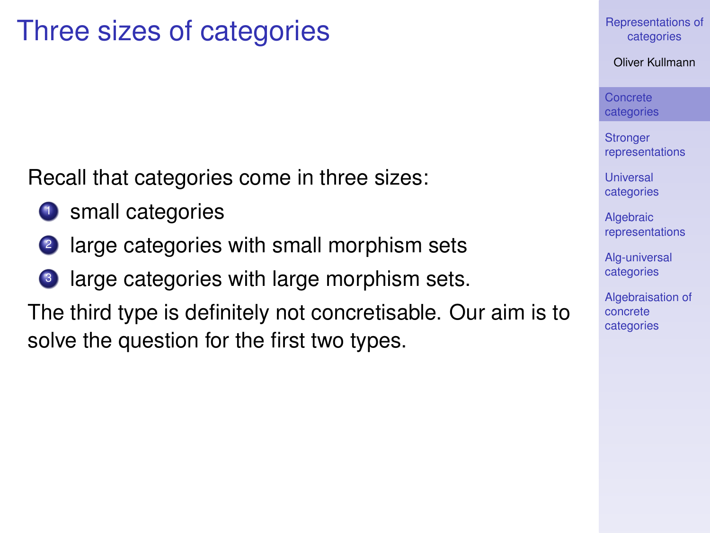## Three sizes of categories

Recall that categories come in three sizes:

- <sup>1</sup> small categories
- <sup>2</sup> large categories with small morphism sets
- large categories with large morphism sets.

The third type is definitely not concretisable. Our aim is to solve the question for the first two types.

[Representations of](#page-0-0) categories

Oliver Kullmann

Concrete [categories](#page-4-0)

**Stronger** [representations](#page-9-0)

**Universal** [categories](#page-11-0)

**Algebraic** [representations](#page-12-0)

[Alg-universal](#page-15-0) categories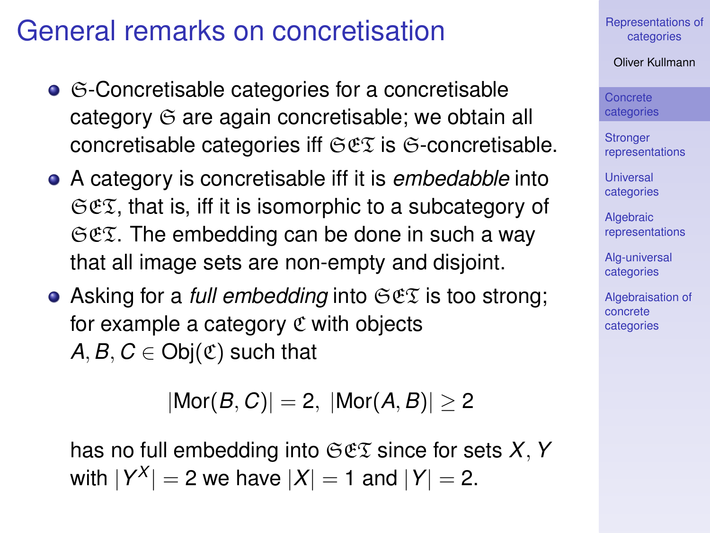# General remarks on concretisation

- G-Concretisable categories for a concretisable category  $\Im$  are again concretisable; we obtain all concretisable categories iff  $\Im \mathfrak{E} \mathfrak{T}$  is  $\Im$ -concretisable.
- A category is concretisable iff it is *embedabble* into  $CCE$ , that is, iff it is isomorphic to a subcategory of  $\Im \mathfrak{E}$ . The embedding can be done in such a way that all image sets are non-empty and disjoint.
- Asking for a *full embedding* into SET is too strong; for example a category  $\mathfrak C$  with objects *A*, *B*,  $C \in Ob<sub>i</sub>(\mathfrak{C})$  such that

 $|Mor(B, C)| = 2, |Mor(A, B)| \ge 2$ 

has no full embedding into SET since for sets *X*,*Y* with  $|Y^X| = 2$  we have  $|X| = 1$  and  $|Y| = 2$ .

[Representations of](#page-0-0) categories

Oliver Kullmann

Concrete [categories](#page-4-0)

**Stronger** [representations](#page-9-0)

**Universal** [categories](#page-11-0)

**Algebraic** [representations](#page-12-0)

[Alg-universal](#page-15-0) categories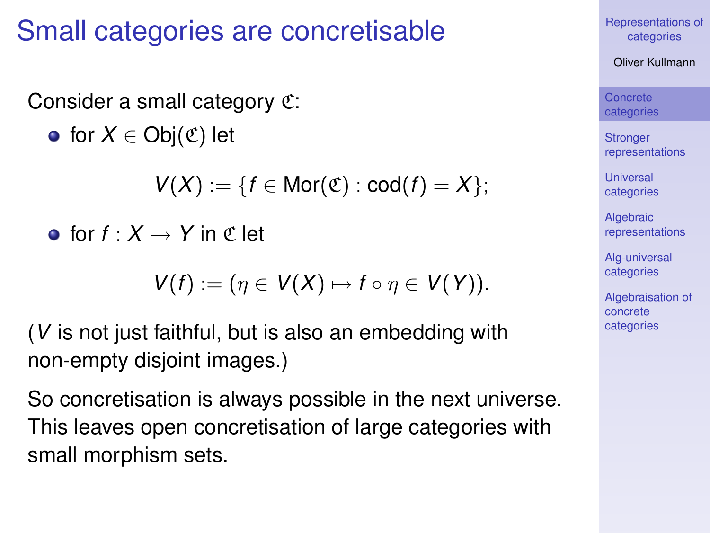# Small categories are concretisable

Consider a small category C:

 $\bullet$  for *X* ∈ Obj $(\mathfrak{C})$  let

*V*(*X*) := {*f* ∈ Mor( $\mathfrak{C}$ ) : cod(*f*) = *X* };

**o** for  $f: X \rightarrow Y$  in  $\mathfrak{C}$  let

$$
V(f):=(\eta\in V(X)\mapsto f\circ\eta\in V(Y)).
$$

(*V* is not just faithful, but is also an embedding with non-empty disjoint images.)

So concretisation is always possible in the next universe. This leaves open concretisation of large categories with small morphism sets.

[Representations of](#page-0-0) categories

Oliver Kullmann

Concrete [categories](#page-4-0)

**Stronger** [representations](#page-9-0)

**Universal** [categories](#page-11-0)

**Algebraic** [representations](#page-12-0)

[Alg-universal](#page-15-0) categories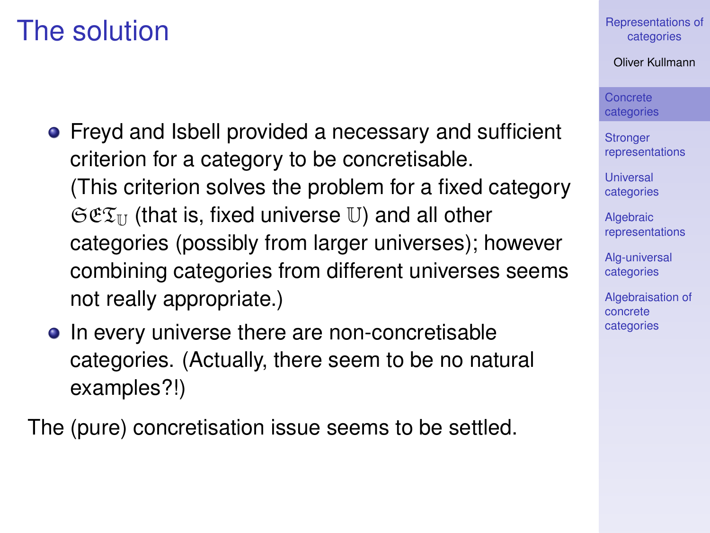# The solution

- Freyd and Isbell provided a necessary and sufficient criterion for a category to be concretisable. (This criterion solves the problem for a fixed category  $\mathfrak{S}\mathfrak{C}\mathfrak{T}_{\mathbb{U}}$  (that is, fixed universe U) and all other categories (possibly from larger universes); however combining categories from different universes seems not really appropriate.)
- In every universe there are non-concretisable categories. (Actually, there seem to be no natural examples?!)

The (pure) concretisation issue seems to be settled.

[Representations of](#page-0-0) categories

Oliver Kullmann

Concrete [categories](#page-4-0)

**Stronger** [representations](#page-9-0)

**Universal** [categories](#page-11-0)

**Algebraic** [representations](#page-12-0)

[Alg-universal](#page-15-0) categories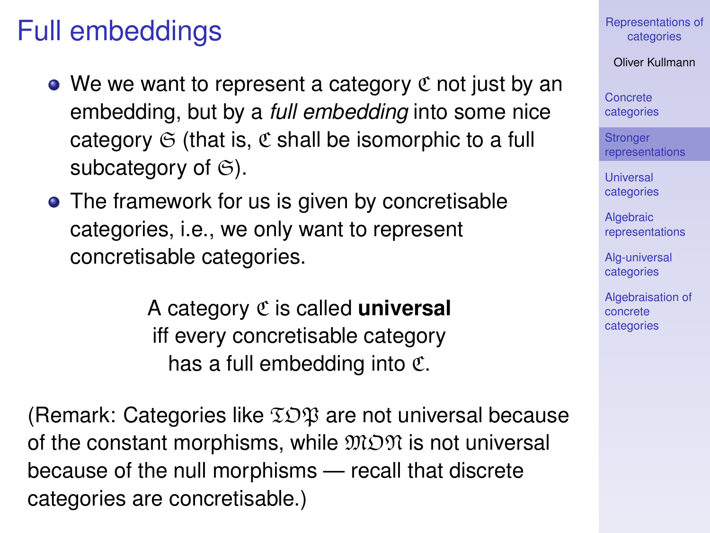# Full embeddings

- We we want to represent a category  $\mathfrak C$  not just by an embedding, but by a *full embedding* into some nice category  $G$  (that is,  $C$  shall be isomorphic to a full subcategory of  $\mathfrak{S}$ ).
- The framework for us is given by concretisable categories, i.e., we only want to represent concretisable categories.

A category C is called **universal** iff every concretisable category has a full embedding into C.

<span id="page-9-0"></span>(Remark: Categories like  $\Sigma \mathcal{D} \mathfrak{P}$  are not universal because of the constant morphisms, while  $\mathfrak{M} \mathfrak{M}$  is not universal because of the null morphisms — recall that discrete categories are concretisable.)

[Representations of](#page-0-0) categories

Oliver Kullmann

Concrete [categories](#page-4-0)

**Stronger** [representations](#page-9-0)

**Universal** [categories](#page-11-0)

**Algebraic** [representations](#page-12-0)

[Alg-universal](#page-15-0) categories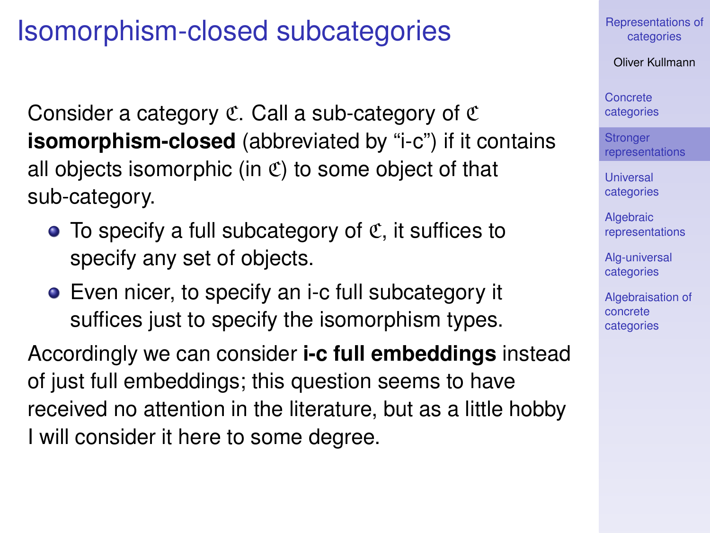# Isomorphism-closed subcategories

Consider a category  $\mathfrak C$ . Call a sub-category of  $\mathfrak C$ **isomorphism-closed** (abbreviated by "i-c") if it contains all objects isomorphic (in  $\mathfrak{C}$ ) to some object of that sub-category.

- $\bullet$  To specify a full subcategory of  $\mathfrak{C}$ , it suffices to specify any set of objects.
- Even nicer, to specify an i-c full subcategory it suffices just to specify the isomorphism types.

Accordingly we can consider **i-c full embeddings** instead of just full embeddings; this question seems to have received no attention in the literature, but as a little hobby I will consider it here to some degree.

[Representations of](#page-0-0) categories

Oliver Kullmann

Concrete [categories](#page-4-0)

**Stronger** [representations](#page-9-0)

**Universal** [categories](#page-11-0)

**Algebraic** [representations](#page-12-0)

[Alg-universal](#page-15-0) categories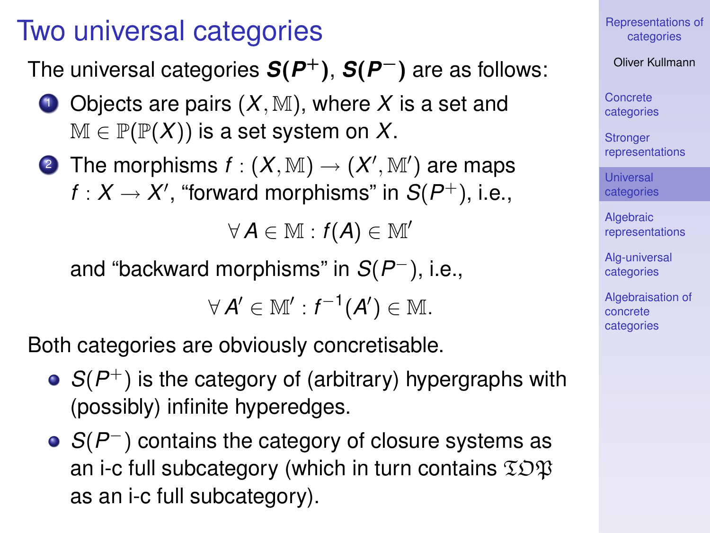## Two universal categories

The universal categories *S*(*P* <sup>+</sup>), *S*(*P* <sup>−</sup>) are as follows:

- $\bullet$  Objects are pairs  $(X, M)$ , where X is a set and  $M \in \mathbb{P}(\mathbb{P}(X))$  is a set system on X.
- **2** The morphisms  $f:(X, \mathbb{M}) \to (X', \mathbb{M}^{\prime})$  are maps  $f: X \rightarrow X'$ , "forward morphisms" in  $S(P^{+}),$  i.e.,

 $\forall A \in \mathbb{M} : f(A) \in \mathbb{M}'$ 

and "backward morphisms" in  $S(P^-)$ , i.e.,

 $\forall A' \in \mathbb{M}' : f^{-1}(A') \in \mathbb{M}.$ 

Both categories are obviously concretisable.

- $S(P^+)$  is the category of (arbitrary) hypergraphs with (possibly) infinite hyperedges.
- <span id="page-11-0"></span>*S*( $P^-$ ) contains the category of closure systems as an i-c full subcategory (which in turn contains  $\Sigma$  $\mathfrak{B}$ as an i-c full subcategory).

[Representations of](#page-0-0) categories

Oliver Kullmann

Concrete [categories](#page-4-0)

**Stronger** [representations](#page-9-0)

Universal [categories](#page-11-0)

**Algebraic** [representations](#page-12-0)

[Alg-universal](#page-15-0) categories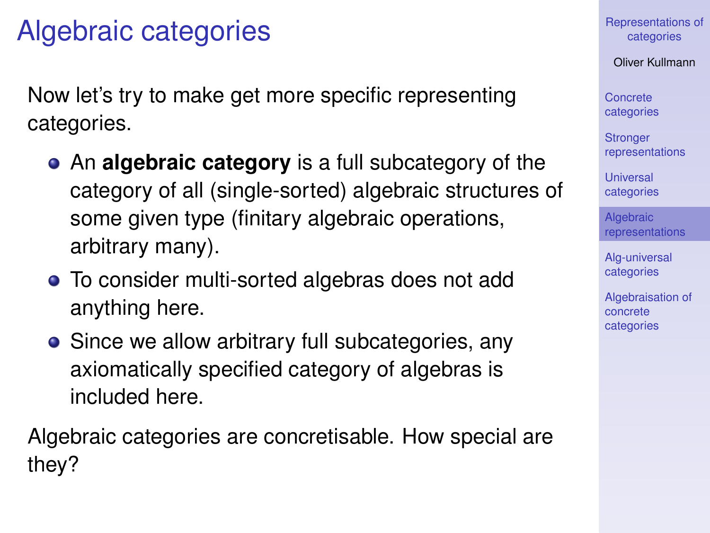# Algebraic categories

Now let's try to make get more specific representing categories.

- An **algebraic category** is a full subcategory of the category of all (single-sorted) algebraic structures of some given type (finitary algebraic operations, arbitrary many).
- To consider multi-sorted algebras does not add anything here.
- Since we allow arbitrary full subcategories, any axiomatically specified category of algebras is included here.

<span id="page-12-0"></span>Algebraic categories are concretisable. How special are they?

[Representations of](#page-0-0) categories

Oliver Kullmann

Concrete [categories](#page-4-0)

**Stronger** [representations](#page-9-0)

**Universal** [categories](#page-11-0)

**Algebraic** [representations](#page-12-0)

[Alg-universal](#page-15-0) categories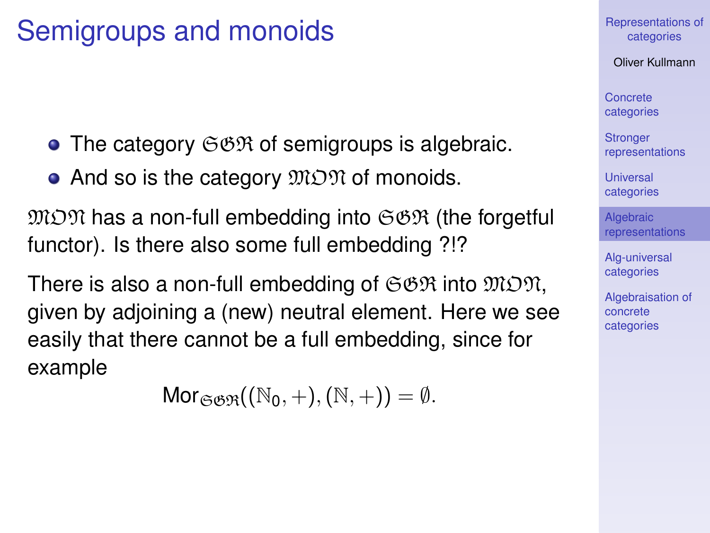# Semigroups and monoids

- $\bullet$  The category  $\mathfrak{S}\mathfrak{B}\mathfrak{R}$  of semigroups is algebraic.
- And so is the category  $\mathfrak{M} \mathfrak{O} \mathfrak{N}$  of monoids.

 $\mathfrak{M} \mathfrak{O} \mathfrak{N}$  has a non-full embedding into  $\mathfrak{S} \mathfrak{B} \mathfrak{R}$  (the forgetful functor). Is there also some full embedding ?!?

There is also a non-full embedding of  $\mathfrak{S}\mathfrak{BR}$  into  $\mathfrak{M} \mathfrak{OR}$ , given by adjoining a (new) neutral element. Here we see easily that there cannot be a full embedding, since for example

 $Mor_{\mathfrak{S}^{\beta}}((\mathbb{N}_{0}, +), (\mathbb{N}, +)) = \emptyset.$ 

[Representations of](#page-0-0) categories

Oliver Kullmann

Concrete [categories](#page-4-0)

**Stronger** [representations](#page-9-0)

**Universal** [categories](#page-11-0)

**Algebraic** [representations](#page-12-0)

[Alg-universal](#page-15-0) categories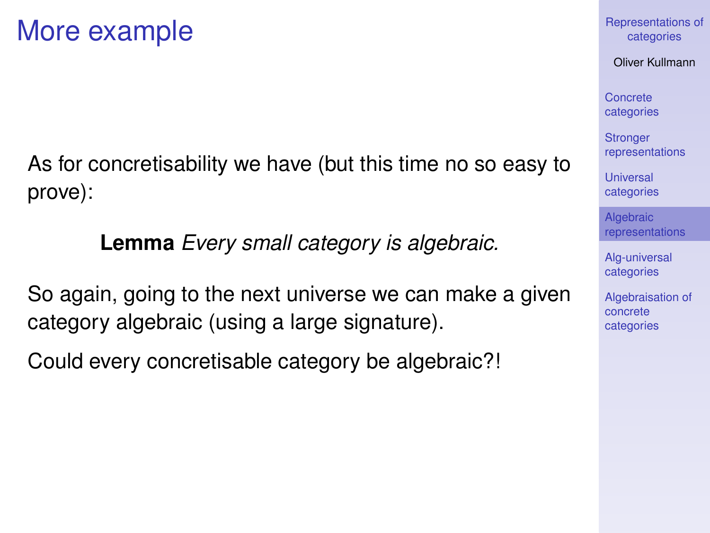As for concretisability we have (but this time no so easy to prove):

**Lemma** *Every small category is algebraic.*

So again, going to the next universe we can make a given category algebraic (using a large signature).

Could every concretisable category be algebraic?!

[Representations of](#page-0-0) categories

Oliver Kullmann

Concrete [categories](#page-4-0)

**Stronger** [representations](#page-9-0)

**Universal** [categories](#page-11-0)

**Algebraic** [representations](#page-12-0)

[Alg-universal](#page-15-0) categories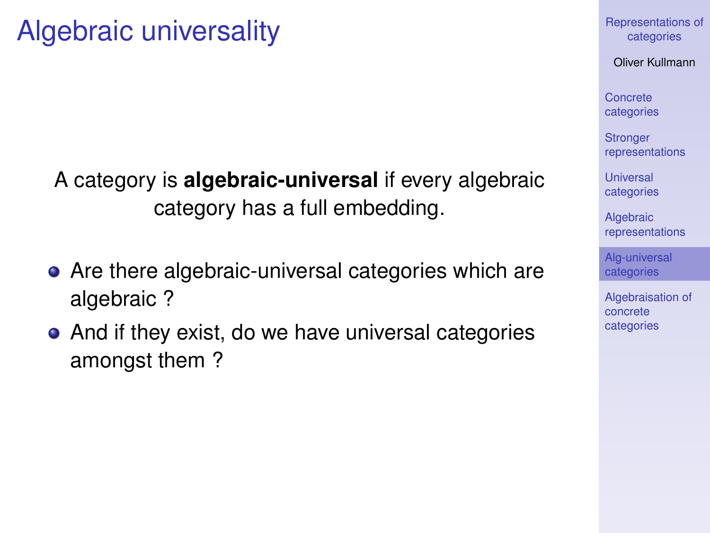### A category is **algebraic-universal** if every algebraic category has a full embedding.

- Are there algebraic-universal categories which are algebraic ?
- <span id="page-15-0"></span>• And if they exist, do we have universal categories amongst them ?

[Representations of](#page-0-0) categories

Oliver Kullmann

Concrete [categories](#page-4-0)

**Stronger** [representations](#page-9-0)

Universal [categories](#page-11-0)

**Algebraic** [representations](#page-12-0)

[Alg-universal](#page-15-0) categories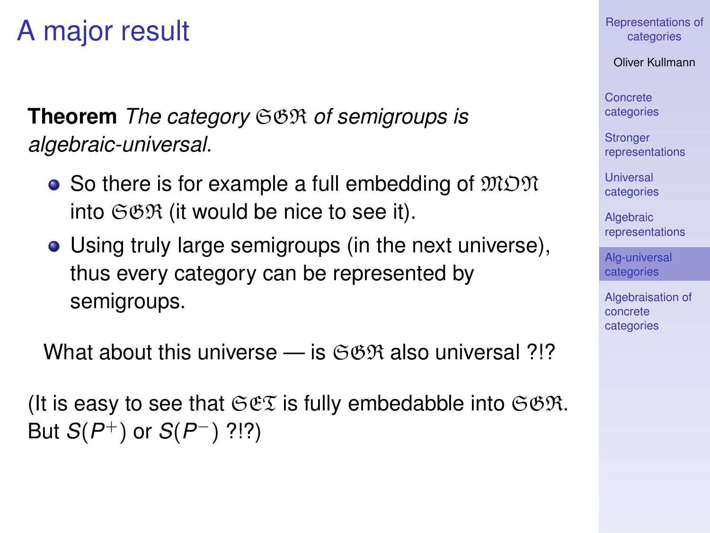# A major result

**Theorem** *The category* SGR *of semigroups is algebraic-universal.*

- So there is for example a full embedding of  $\mathfrak{M} \mathfrak{O} \mathfrak{N}$ into  $\mathfrak{S}\mathfrak{GR}$  (it would be nice to see it).
- Using truly large semigroups (in the next universe), thus every category can be represented by semigroups.

What about this universe — is  $\mathfrak{GBR}$  also universal ?!?

(It is easy to see that  $\Im \mathfrak{C} \Im$  is fully embedabble into  $\Im \mathfrak{B} \Re$ . But  $S(P^+)$  or  $S(P^-)$  ?!?)

[Representations of](#page-0-0) categories

Oliver Kullmann

Concrete [categories](#page-4-0)

**Stronger** [representations](#page-9-0)

**Universal** [categories](#page-11-0)

**Algebraic** [representations](#page-12-0)

[Alg-universal](#page-15-0) categories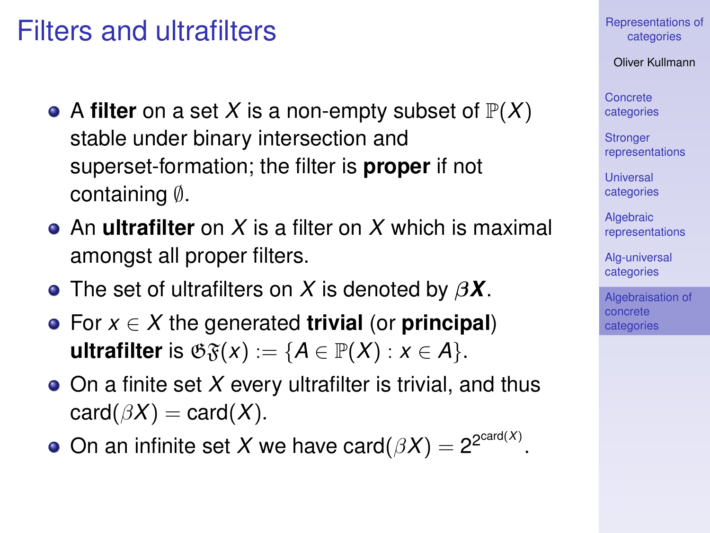## Filters and ultrafilters

- A **filter** on a set X is a non-empty subset of  $\mathbb{P}(X)$ stable under binary intersection and superset-formation; the filter is **proper** if not containing ∅.
- An **ultrafilter** on *X* is a filter on *X* which is maximal amongst all proper filters.
- The set of ultrafilters on *X* is denoted by β*X*.
- For *x* ∈ *X* the generated **trivial** (or **principal**) **ultrafilter** is  $\mathfrak{G}_{\mathfrak{F}}(x) := \{A \in \mathbb{P}(X) : x \in A\}.$
- On a finite set *X* every ultrafilter is trivial, and thus  $card(\beta X) = card(X)$ .
- <span id="page-17-0"></span>On an infinite set X we have card $(\beta X) = 2^{2^{card(X)}}$ .

[Representations of](#page-0-0) categories

Oliver Kullmann

Concrete [categories](#page-4-0)

**Stronger** [representations](#page-9-0)

**Universal** [categories](#page-11-0)

**Algebraic** [representations](#page-12-0)

[Alg-universal](#page-15-0) categories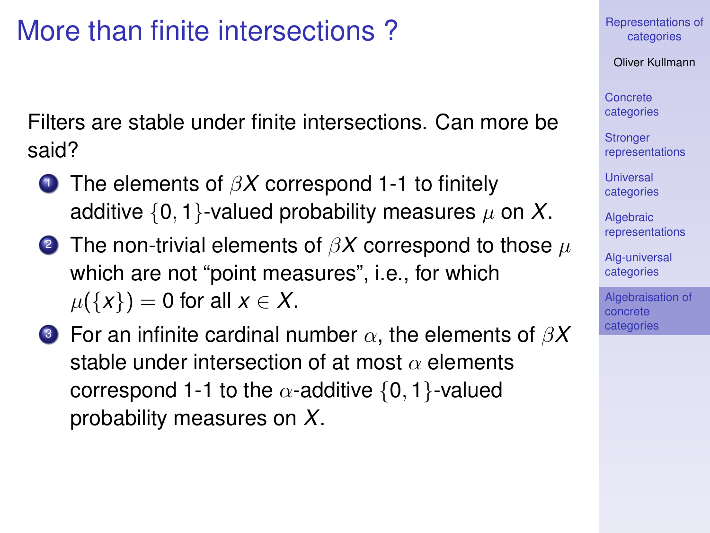# More than finite intersections ?

Filters are stable under finite intersections. Can more be said?

- <sup>1</sup> The elements of β*X* correspond 1-1 to finitely additive  $\{0, 1\}$ -valued probability measures  $\mu$  on X.
- 2 The non-trivial elements of  $\beta X$  correspond to those  $\mu$ which are not "point measures", i.e., for which  $\mu({x}) = 0$  for all  $x \in X$ .
- <sup>3</sup> For an infinite cardinal number α, the elements of β*X* stable under intersection of at most  $\alpha$  elements correspond 1-1 to the  $\alpha$ -additive {0, 1}-valued probability measures on *X*.

[Representations of](#page-0-0) categories

Oliver Kullmann

Concrete [categories](#page-4-0)

**Stronger** [representations](#page-9-0)

**Universal** [categories](#page-11-0)

**Algebraic** [representations](#page-12-0)

[Alg-universal](#page-15-0) categories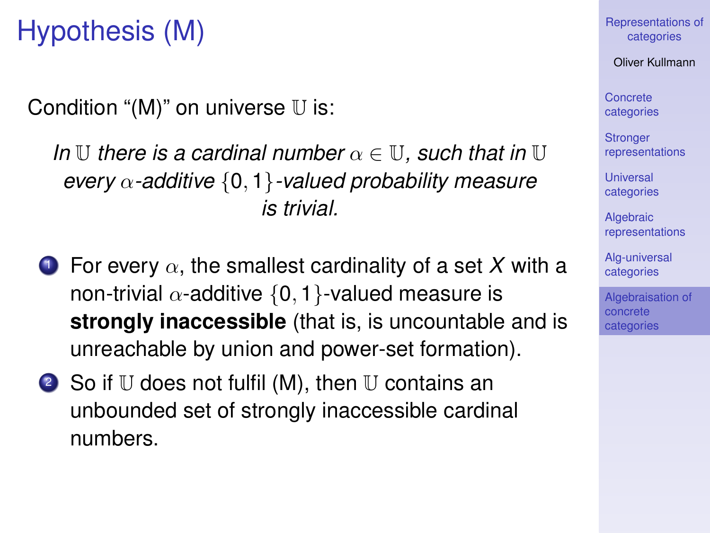# Hypothesis (M)

Condition " $(M)$ " on universe  $U$  is:

*In*  $\mathbb U$  *there is a cardinal number*  $\alpha \in \mathbb U$ *, such that in*  $\mathbb U$ *every* α*-additive* {0, 1}*-valued probability measure is trivial.*

- **1** For every  $\alpha$ , the smallest cardinality of a set X with a non-trivial  $\alpha$ -additive {0, 1}-valued measure is **strongly inaccessible** (that is, is uncountable and is unreachable by union and power-set formation).
- 2 So if  $U$  does not fulfil (M), then  $U$  contains an unbounded set of strongly inaccessible cardinal numbers.

[Representations of](#page-0-0) categories

Oliver Kullmann

Concrete [categories](#page-4-0)

**Stronger** [representations](#page-9-0)

**Universal** [categories](#page-11-0)

**Algebraic** [representations](#page-12-0)

[Alg-universal](#page-15-0) categories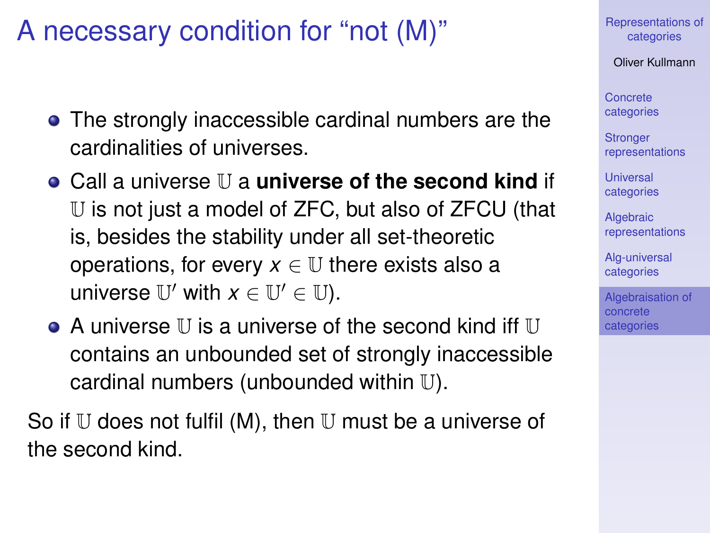# A necessary condition for "not (M)"

- The strongly inaccessible cardinal numbers are the cardinalities of universes.
- Call a universe U a **universe of the second kind** if U is not just a model of ZFC, but also of ZFCU (that is, besides the stability under all set-theoretic operations, for every  $x \in \mathbb{U}$  there exists also a universe  $\mathbb{U}'$  with  $x \in \mathbb{U}' \in \mathbb{U}$ ).
- $\bullet$  A universe II is a universe of the second kind iff II contains an unbounded set of strongly inaccessible cardinal numbers (unbounded within U).

So if  $U$  does not fulfil (M), then  $U$  must be a universe of the second kind.

[Representations of](#page-0-0) categories

Oliver Kullmann

Concrete [categories](#page-4-0)

**Stronger** [representations](#page-9-0)

Universal [categories](#page-11-0)

**Algebraic** [representations](#page-12-0)

[Alg-universal](#page-15-0) categories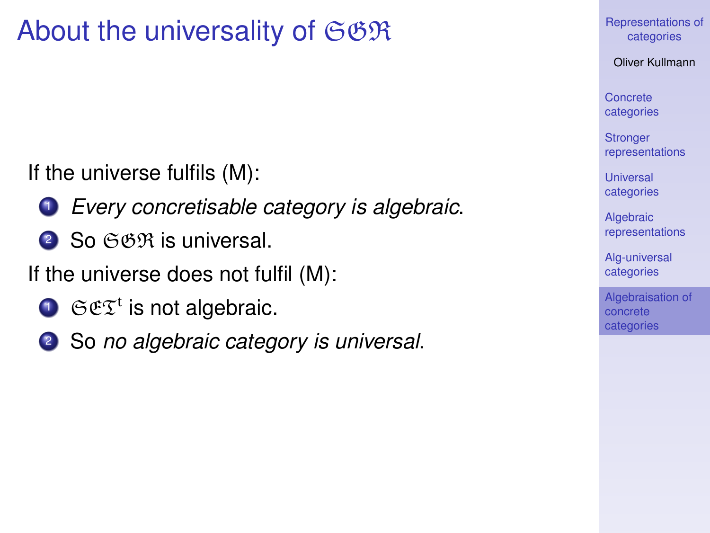# About the universality of  $\mathfrak{S}\mathfrak{GR}$

If the universe fulfils (M):

- <sup>1</sup> *Every concretisable category is algebraic*.
- 2 So GOR is universal.

If the universe does not fulfil (M):

- $\mathbf{D}$   $\mathfrak{S}\mathfrak{E}\mathfrak{T}^t$  is not algebraic.
- <sup>2</sup> So *no algebraic category is universal*.

[Representations of](#page-0-0) categories

Oliver Kullmann

Concrete [categories](#page-4-0)

**Stronger** [representations](#page-9-0)

Universal [categories](#page-11-0)

**Algebraic** [representations](#page-12-0)

[Alg-universal](#page-15-0) categories